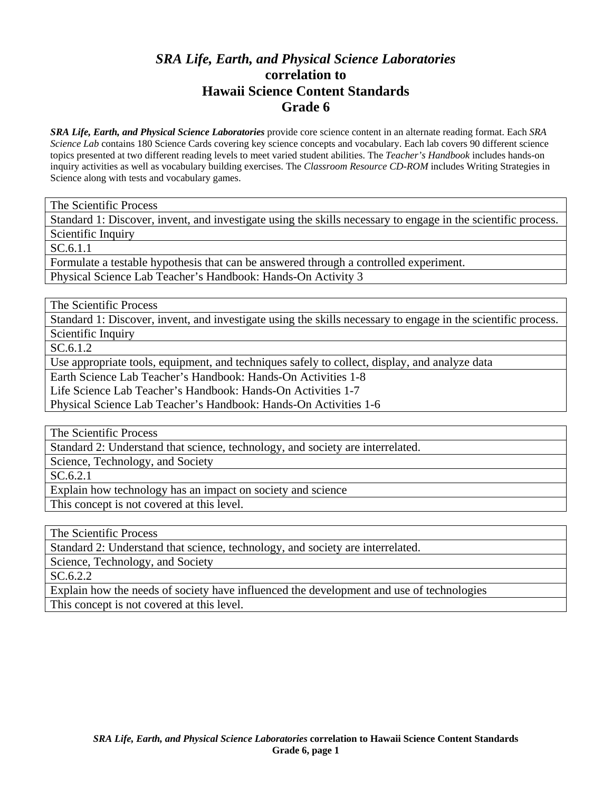## *SRA Life, Earth, and Physical Science Laboratories*  **correlation to Hawaii Science Content Standards Grade 6**

*SRA Life, Earth, and Physical Science Laboratories* provide core science content in an alternate reading format. Each *SRA Science Lab* contains 180 Science Cards covering key science concepts and vocabulary. Each lab covers 90 different science topics presented at two different reading levels to meet varied student abilities. The *Teacher's Handbook* includes hands-on inquiry activities as well as vocabulary building exercises. The *Classroom Resource CD-ROM* includes Writing Strategies in Science along with tests and vocabulary games.

The Scientific Process

Standard 1: Discover, invent, and investigate using the skills necessary to engage in the scientific process. Scientific Inquiry

SC.6.1.1

Formulate a testable hypothesis that can be answered through a controlled experiment.

Physical Science Lab Teacher's Handbook: Hands-On Activity 3

The Scientific Process

Standard 1: Discover, invent, and investigate using the skills necessary to engage in the scientific process. Scientific Inquiry

SC.6.1.2

Use appropriate tools, equipment, and techniques safely to collect, display, and analyze data

Earth Science Lab Teacher's Handbook: Hands-On Activities 1-8

Life Science Lab Teacher's Handbook: Hands-On Activities 1-7

Physical Science Lab Teacher's Handbook: Hands-On Activities 1-6

The Scientific Process

Standard 2: Understand that science, technology, and society are interrelated.

Science, Technology, and Society

SC.6.2.1

Explain how technology has an impact on society and science

This concept is not covered at this level.

The Scientific Process

Standard 2: Understand that science, technology, and society are interrelated.

Science, Technology, and Society

SC.6.2.2

Explain how the needs of society have influenced the development and use of technologies This concept is not covered at this level.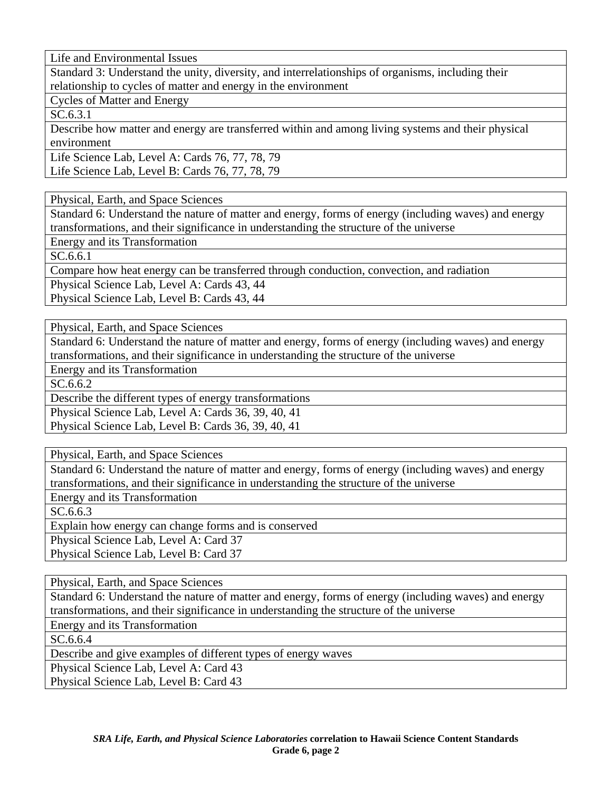Life and Environmental Issues

Standard 3: Understand the unity, diversity, and interrelationships of organisms, including their relationship to cycles of matter and energy in the environment

Cycles of Matter and Energy

SC.6.3.1

Describe how matter and energy are transferred within and among living systems and their physical environment

Life Science Lab, Level A: Cards 76, 77, 78, 79 Life Science Lab, Level B: Cards 76, 77, 78, 79

Physical, Earth, and Space Sciences

Standard 6: Understand the nature of matter and energy, forms of energy (including waves) and energy transformations, and their significance in understanding the structure of the universe

Energy and its Transformation

SC.6.6.1

Compare how heat energy can be transferred through conduction, convection, and radiation

Physical Science Lab, Level A: Cards 43, 44

Physical Science Lab, Level B: Cards 43, 44

Physical, Earth, and Space Sciences

Standard 6: Understand the nature of matter and energy, forms of energy (including waves) and energy transformations, and their significance in understanding the structure of the universe

Energy and its Transformation

SC.6.6.2

Describe the different types of energy transformations

Physical Science Lab, Level A: Cards 36, 39, 40, 41

Physical Science Lab, Level B: Cards 36, 39, 40, 41

Physical, Earth, and Space Sciences

Standard 6: Understand the nature of matter and energy, forms of energy (including waves) and energy transformations, and their significance in understanding the structure of the universe

Energy and its Transformation

SC.6.6.3

Explain how energy can change forms and is conserved

Physical Science Lab, Level A: Card 37

Physical Science Lab, Level B: Card 37

Physical, Earth, and Space Sciences

Standard 6: Understand the nature of matter and energy, forms of energy (including waves) and energy transformations, and their significance in understanding the structure of the universe

Energy and its Transformation

SC.6.6.4

Describe and give examples of different types of energy waves

Physical Science Lab, Level A: Card 43

Physical Science Lab, Level B: Card 43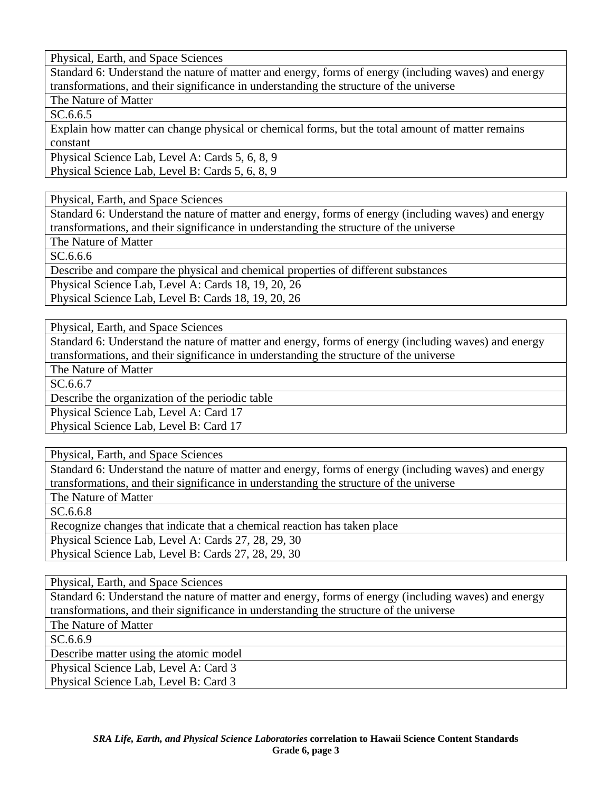Standard 6: Understand the nature of matter and energy, forms of energy (including waves) and energy transformations, and their significance in understanding the structure of the universe

The Nature of Matter

SC.6.6.5

Explain how matter can change physical or chemical forms, but the total amount of matter remains constant

Physical Science Lab, Level A: Cards 5, 6, 8, 9 Physical Science Lab, Level B: Cards 5, 6, 8, 9

Physical, Earth, and Space Sciences

Standard 6: Understand the nature of matter and energy, forms of energy (including waves) and energy transformations, and their significance in understanding the structure of the universe

The Nature of Matter

SC.6.6.6

Describe and compare the physical and chemical properties of different substances

Physical Science Lab, Level A: Cards 18, 19, 20, 26

Physical Science Lab, Level B: Cards 18, 19, 20, 26

Physical, Earth, and Space Sciences

Standard 6: Understand the nature of matter and energy, forms of energy (including waves) and energy transformations, and their significance in understanding the structure of the universe

The Nature of Matter

SC.6.6.7

Describe the organization of the periodic table

Physical Science Lab, Level A: Card 17

Physical Science Lab, Level B: Card 17

Physical, Earth, and Space Sciences

Standard 6: Understand the nature of matter and energy, forms of energy (including waves) and energy transformations, and their significance in understanding the structure of the universe

The Nature of Matter

SC.6.6.8

Recognize changes that indicate that a chemical reaction has taken place

Physical Science Lab, Level A: Cards 27, 28, 29, 30

Physical Science Lab, Level B: Cards 27, 28, 29, 30

Physical, Earth, and Space Sciences

Standard 6: Understand the nature of matter and energy, forms of energy (including waves) and energy transformations, and their significance in understanding the structure of the universe

The Nature of Matter

SC.6.6.9

Describe matter using the atomic model

Physical Science Lab, Level A: Card 3 Physical Science Lab, Level B: Card 3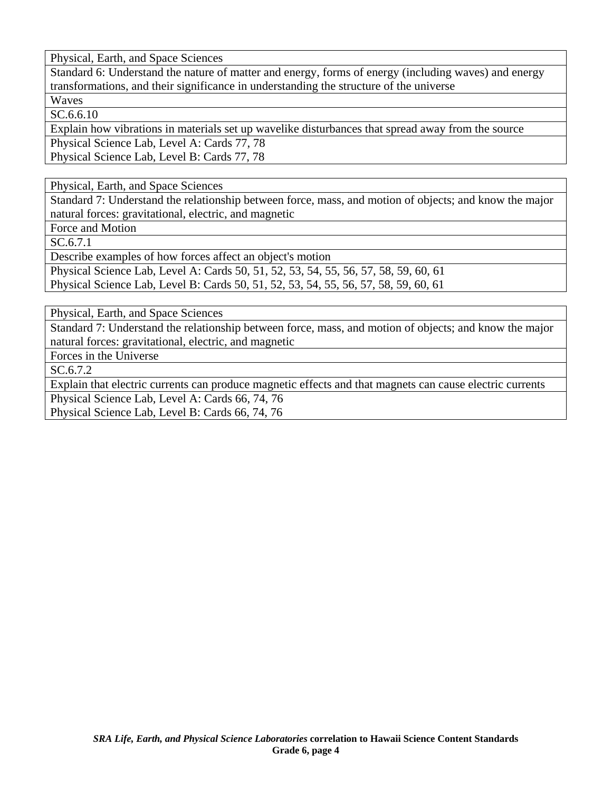Standard 6: Understand the nature of matter and energy, forms of energy (including waves) and energy transformations, and their significance in understanding the structure of the universe

Waves

SC.6.6.10

Explain how vibrations in materials set up wavelike disturbances that spread away from the source Physical Science Lab, Level A: Cards 77, 78

Physical Science Lab, Level B: Cards 77, 78

Physical, Earth, and Space Sciences

Standard 7: Understand the relationship between force, mass, and motion of objects; and know the major natural forces: gravitational, electric, and magnetic

Force and Motion

SC.6.7.1

Describe examples of how forces affect an object's motion

Physical Science Lab, Level A: Cards 50, 51, 52, 53, 54, 55, 56, 57, 58, 59, 60, 61 Physical Science Lab, Level B: Cards 50, 51, 52, 53, 54, 55, 56, 57, 58, 59, 60, 61

Physical, Earth, and Space Sciences

Standard 7: Understand the relationship between force, mass, and motion of objects; and know the major natural forces: gravitational, electric, and magnetic

Forces in the Universe

SC.6.7.2

Explain that electric currents can produce magnetic effects and that magnets can cause electric currents Physical Science Lab, Level A: Cards 66, 74, 76 Physical Science Lab, Level B: Cards 66, 74, 76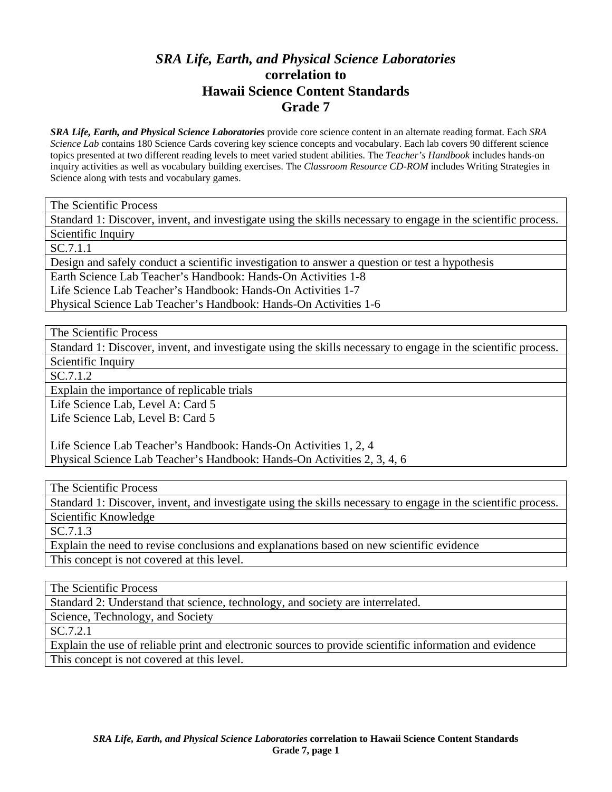## *SRA Life, Earth, and Physical Science Laboratories*  **correlation to Hawaii Science Content Standards Grade 7**

*SRA Life, Earth, and Physical Science Laboratories* provide core science content in an alternate reading format. Each *SRA Science Lab* contains 180 Science Cards covering key science concepts and vocabulary. Each lab covers 90 different science topics presented at two different reading levels to meet varied student abilities. The *Teacher's Handbook* includes hands-on inquiry activities as well as vocabulary building exercises. The *Classroom Resource CD-ROM* includes Writing Strategies in Science along with tests and vocabulary games.

The Scientific Process

Standard 1: Discover, invent, and investigate using the skills necessary to engage in the scientific process.

Scientific Inquiry

SC.7.1.1

Design and safely conduct a scientific investigation to answer a question or test a hypothesis

Earth Science Lab Teacher's Handbook: Hands-On Activities 1-8

Life Science Lab Teacher's Handbook: Hands-On Activities 1-7

Physical Science Lab Teacher's Handbook: Hands-On Activities 1-6

The Scientific Process

Standard 1: Discover, invent, and investigate using the skills necessary to engage in the scientific process. Scientific Inquiry

SC.7.1.2

Explain the importance of replicable trials

Life Science Lab, Level A: Card 5 Life Science Lab, Level B: Card 5

Life Science Lab Teacher's Handbook: Hands-On Activities 1, 2, 4 Physical Science Lab Teacher's Handbook: Hands-On Activities 2, 3, 4, 6

The Scientific Process

Standard 1: Discover, invent, and investigate using the skills necessary to engage in the scientific process. Scientific Knowledge

SC.7.1.3

Explain the need to revise conclusions and explanations based on new scientific evidence This concept is not covered at this level.

The Scientific Process

Standard 2: Understand that science, technology, and society are interrelated.

Science, Technology, and Society

SC.7.2.1

Explain the use of reliable print and electronic sources to provide scientific information and evidence This concept is not covered at this level.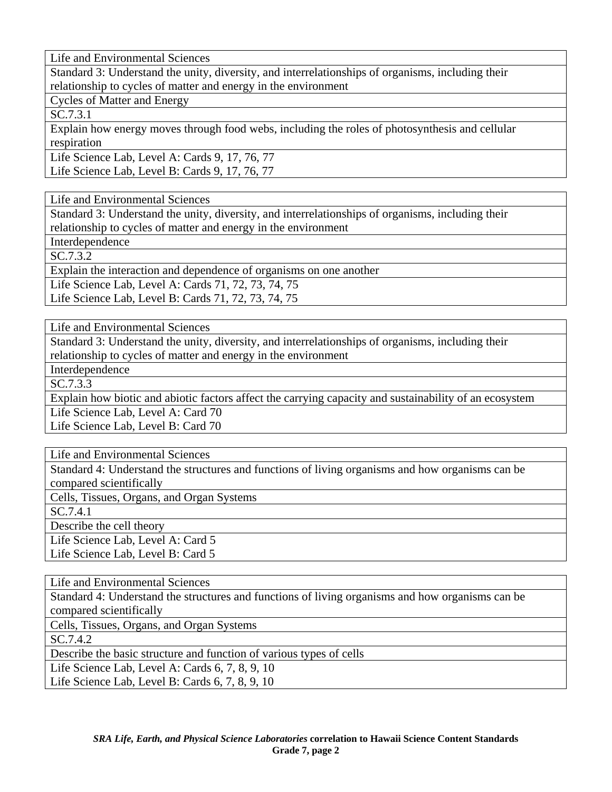Standard 3: Understand the unity, diversity, and interrelationships of organisms, including their relationship to cycles of matter and energy in the environment

Cycles of Matter and Energy

SC.7.3.1

Explain how energy moves through food webs, including the roles of photosynthesis and cellular respiration

Life Science Lab, Level A: Cards 9, 17, 76, 77 Life Science Lab, Level B: Cards 9, 17, 76, 77

Life and Environmental Sciences

Standard 3: Understand the unity, diversity, and interrelationships of organisms, including their relationship to cycles of matter and energy in the environment

Interdependence

SC.7.3.2

Explain the interaction and dependence of organisms on one another

Life Science Lab, Level A: Cards 71, 72, 73, 74, 75

Life Science Lab, Level B: Cards 71, 72, 73, 74, 75

Life and Environmental Sciences

Standard 3: Understand the unity, diversity, and interrelationships of organisms, including their relationship to cycles of matter and energy in the environment

Interdependence

SC.7.3.3

Explain how biotic and abiotic factors affect the carrying capacity and sustainability of an ecosystem Life Science Lab, Level A: Card 70

Life Science Lab, Level B: Card 70

Life and Environmental Sciences

Standard 4: Understand the structures and functions of living organisms and how organisms can be compared scientifically

Cells, Tissues, Organs, and Organ Systems

SC.7.4.1

Describe the cell theory

Life Science Lab, Level A: Card 5 Life Science Lab, Level B: Card 5

Life and Environmental Sciences

Standard 4: Understand the structures and functions of living organisms and how organisms can be compared scientifically

Cells, Tissues, Organs, and Organ Systems

SC.7.4.2

Describe the basic structure and function of various types of cells

Life Science Lab, Level A: Cards 6, 7, 8, 9, 10

Life Science Lab, Level B: Cards 6, 7, 8, 9, 10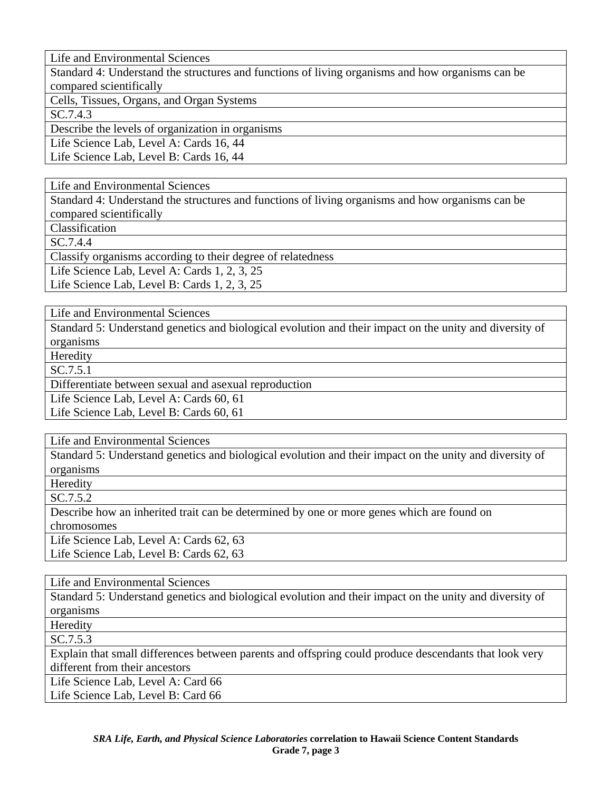Standard 4: Understand the structures and functions of living organisms and how organisms can be compared scientifically

Cells, Tissues, Organs, and Organ Systems

SC.7.4.3

Describe the levels of organization in organisms

Life Science Lab, Level A: Cards 16, 44

Life Science Lab, Level B: Cards 16, 44

Life and Environmental Sciences

Standard 4: Understand the structures and functions of living organisms and how organisms can be compared scientifically

Classification

SC.7.4.4

Classify organisms according to their degree of relatedness

Life Science Lab, Level A: Cards 1, 2, 3, 25

Life Science Lab, Level B: Cards 1, 2, 3, 25

Life and Environmental Sciences

Standard 5: Understand genetics and biological evolution and their impact on the unity and diversity of organisms

Heredity

SC.7.5.1

Differentiate between sexual and asexual reproduction

Life Science Lab, Level A: Cards 60, 61

Life Science Lab, Level B: Cards 60, 61

Life and Environmental Sciences

Standard 5: Understand genetics and biological evolution and their impact on the unity and diversity of organisms

Heredity

SC.7.5.2

Describe how an inherited trait can be determined by one or more genes which are found on chromosomes

Life Science Lab, Level A: Cards 62, 63 Life Science Lab, Level B: Cards 62, 63

Life and Environmental Sciences

Standard 5: Understand genetics and biological evolution and their impact on the unity and diversity of organisms

Heredity

SC.7.5.3

Explain that small differences between parents and offspring could produce descendants that look very different from their ancestors

Life Science Lab, Level A: Card 66 Life Science Lab, Level B: Card 66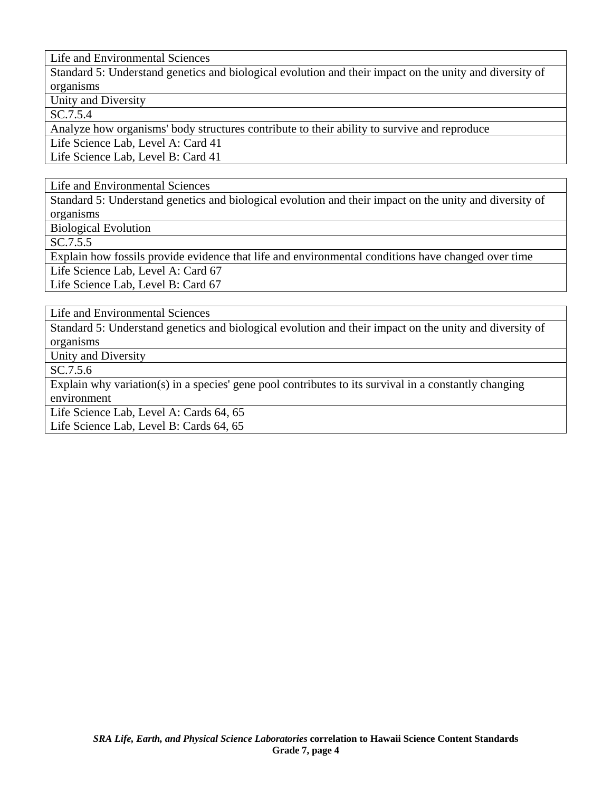Standard 5: Understand genetics and biological evolution and their impact on the unity and diversity of organisms

Unity and Diversity

SC.7.5.4

Analyze how organisms' body structures contribute to their ability to survive and reproduce

Life Science Lab, Level A: Card 41

Life Science Lab, Level B: Card 41

Life and Environmental Sciences

Standard 5: Understand genetics and biological evolution and their impact on the unity and diversity of organisms

Biological Evolution

SC.7.5.5

Explain how fossils provide evidence that life and environmental conditions have changed over time

Life Science Lab, Level A: Card 67

Life Science Lab, Level B: Card 67

Life and Environmental Sciences

Standard 5: Understand genetics and biological evolution and their impact on the unity and diversity of organisms

Unity and Diversity

SC.7.5.6

Explain why variation(s) in a species' gene pool contributes to its survival in a constantly changing environment

Life Science Lab, Level A: Cards 64, 65

Life Science Lab, Level B: Cards 64, 65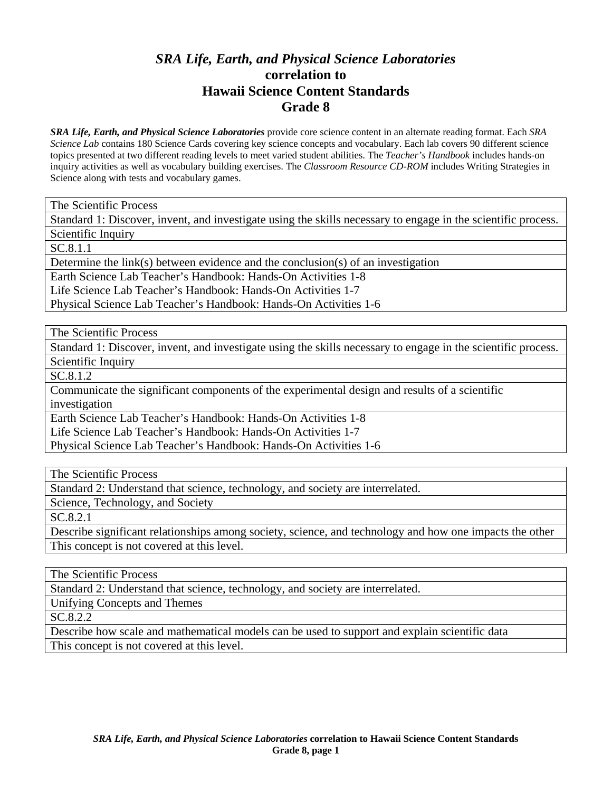## *SRA Life, Earth, and Physical Science Laboratories*  **correlation to Hawaii Science Content Standards Grade 8**

*SRA Life, Earth, and Physical Science Laboratories* provide core science content in an alternate reading format. Each *SRA Science Lab* contains 180 Science Cards covering key science concepts and vocabulary. Each lab covers 90 different science topics presented at two different reading levels to meet varied student abilities. The *Teacher's Handbook* includes hands-on inquiry activities as well as vocabulary building exercises. The *Classroom Resource CD-ROM* includes Writing Strategies in Science along with tests and vocabulary games.

The Scientific Process

Standard 1: Discover, invent, and investigate using the skills necessary to engage in the scientific process.

Scientific Inquiry

SC.8.1.1

Determine the link(s) between evidence and the conclusion(s) of an investigation

Earth Science Lab Teacher's Handbook: Hands-On Activities 1-8

Life Science Lab Teacher's Handbook: Hands-On Activities 1-7

Physical Science Lab Teacher's Handbook: Hands-On Activities 1-6

The Scientific Process

Standard 1: Discover, invent, and investigate using the skills necessary to engage in the scientific process. Scientific Inquiry

SC.8.1.2

Communicate the significant components of the experimental design and results of a scientific investigation

Earth Science Lab Teacher's Handbook: Hands-On Activities 1-8 Life Science Lab Teacher's Handbook: Hands-On Activities 1-7

Physical Science Lab Teacher's Handbook: Hands-On Activities 1-6

The Scientific Process

Standard 2: Understand that science, technology, and society are interrelated.

Science, Technology, and Society

SC.8.2.1

Describe significant relationships among society, science, and technology and how one impacts the other This concept is not covered at this level.

The Scientific Process

Standard 2: Understand that science, technology, and society are interrelated.

Unifying Concepts and Themes

SC.8.2.2

Describe how scale and mathematical models can be used to support and explain scientific data This concept is not covered at this level.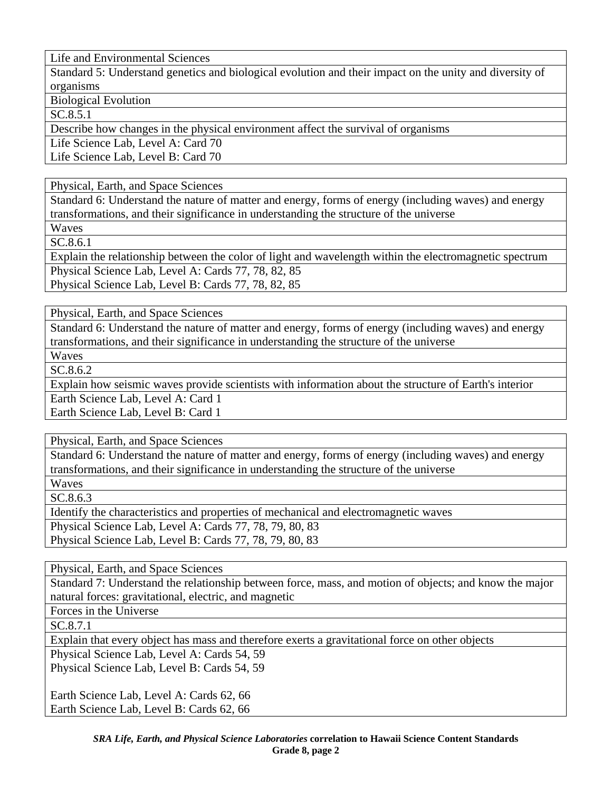Standard 5: Understand genetics and biological evolution and their impact on the unity and diversity of organisms

Biological Evolution

SC.8.5.1

Describe how changes in the physical environment affect the survival of organisms

Life Science Lab, Level A: Card 70

Life Science Lab, Level B: Card 70

Physical, Earth, and Space Sciences

Standard 6: Understand the nature of matter and energy, forms of energy (including waves) and energy transformations, and their significance in understanding the structure of the universe

Waves SC.8.6.1

Explain the relationship between the color of light and wavelength within the electromagnetic spectrum Physical Science Lab, Level A: Cards 77, 78, 82, 85

Physical Science Lab, Level B: Cards 77, 78, 82, 85

Physical, Earth, and Space Sciences

Standard 6: Understand the nature of matter and energy, forms of energy (including waves) and energy transformations, and their significance in understanding the structure of the universe

Waves

SC.8.6.2

Explain how seismic waves provide scientists with information about the structure of Earth's interior

Earth Science Lab, Level A: Card 1

Earth Science Lab, Level B: Card 1

Physical, Earth, and Space Sciences

Standard 6: Understand the nature of matter and energy, forms of energy (including waves) and energy transformations, and their significance in understanding the structure of the universe

Waves

SC.8.6.3

Identify the characteristics and properties of mechanical and electromagnetic waves Physical Science Lab, Level A: Cards 77, 78, 79, 80, 83 Physical Science Lab, Level B: Cards 77, 78, 79, 80, 83

Physical, Earth, and Space Sciences

Standard 7: Understand the relationship between force, mass, and motion of objects; and know the major natural forces: gravitational, electric, and magnetic

Forces in the Universe

SC.8.7.1

Explain that every object has mass and therefore exerts a gravitational force on other objects

Physical Science Lab, Level A: Cards 54, 59

Physical Science Lab, Level B: Cards 54, 59

Earth Science Lab, Level A: Cards 62, 66 Earth Science Lab, Level B: Cards 62, 66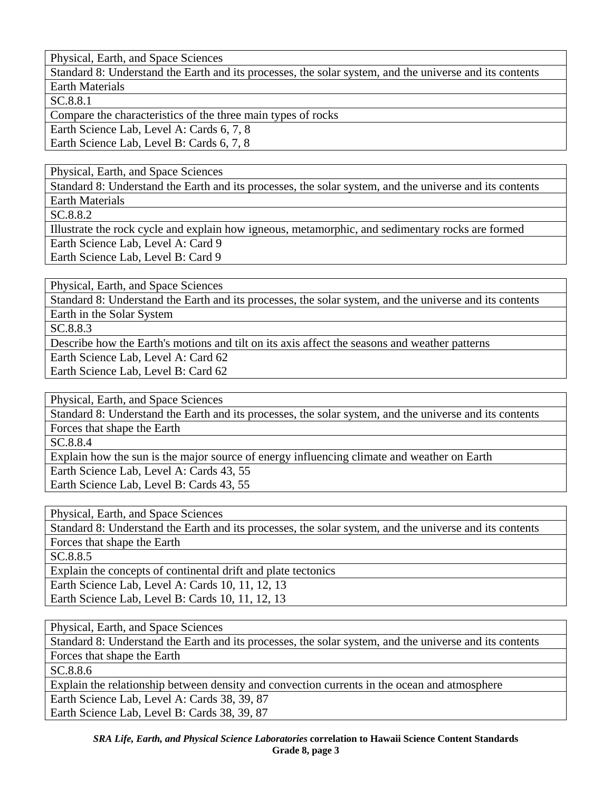Standard 8: Understand the Earth and its processes, the solar system, and the universe and its contents Earth Materials

SC.8.8.1

Compare the characteristics of the three main types of rocks

Earth Science Lab, Level A: Cards 6, 7, 8

Earth Science Lab, Level B: Cards 6, 7, 8

Physical, Earth, and Space Sciences

Standard 8: Understand the Earth and its processes, the solar system, and the universe and its contents

Earth Materials SC.8.8.2

Illustrate the rock cycle and explain how igneous, metamorphic, and sedimentary rocks are formed Earth Science Lab, Level A: Card 9 Earth Science Lab, Level B: Card 9

Physical, Earth, and Space Sciences

Standard 8: Understand the Earth and its processes, the solar system, and the universe and its contents Earth in the Solar System

SC.8.8.3

Describe how the Earth's motions and tilt on its axis affect the seasons and weather patterns Earth Science Lab, Level A: Card 62

Earth Science Lab, Level B: Card 62

Physical, Earth, and Space Sciences

Standard 8: Understand the Earth and its processes, the solar system, and the universe and its contents Forces that shape the Earth

SC.8.8.4

Explain how the sun is the major source of energy influencing climate and weather on Earth Earth Science Lab, Level A: Cards 43, 55 Earth Science Lab, Level B: Cards 43, 55

Physical, Earth, and Space Sciences

Standard 8: Understand the Earth and its processes, the solar system, and the universe and its contents Forces that shape the Earth

SC.8.8.5

Explain the concepts of continental drift and plate tectonics Earth Science Lab, Level A: Cards 10, 11, 12, 13 Earth Science Lab, Level B: Cards 10, 11, 12, 13

Physical, Earth, and Space Sciences

Standard 8: Understand the Earth and its processes, the solar system, and the universe and its contents Forces that shape the Earth

SC.8.8.6

Explain the relationship between density and convection currents in the ocean and atmosphere

Earth Science Lab, Level A: Cards 38, 39, 87

Earth Science Lab, Level B: Cards 38, 39, 87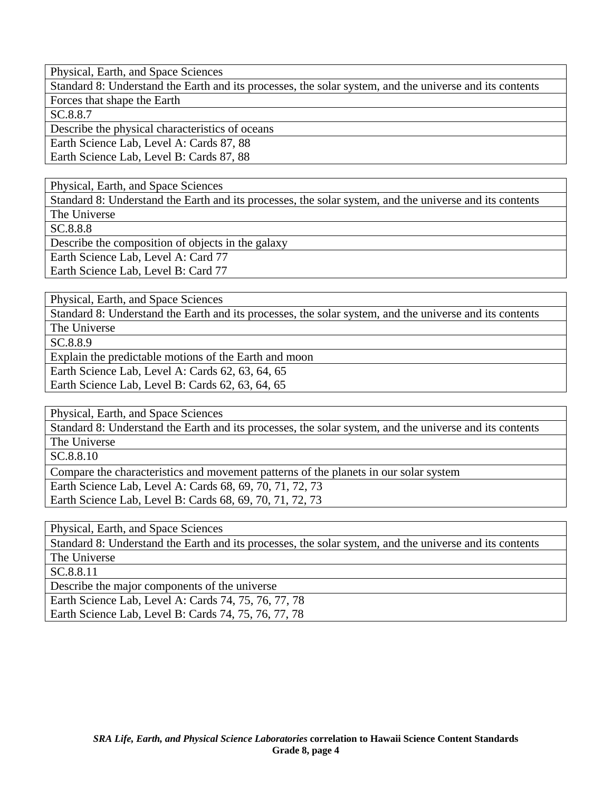Standard 8: Understand the Earth and its processes, the solar system, and the universe and its contents Forces that shape the Earth

SC.8.8.7

Describe the physical characteristics of oceans

Earth Science Lab, Level A: Cards 87, 88

Earth Science Lab, Level B: Cards 87, 88

Physical, Earth, and Space Sciences

Standard 8: Understand the Earth and its processes, the solar system, and the universe and its contents The Universe

SC.8.8.8

Describe the composition of objects in the galaxy

Earth Science Lab, Level A: Card 77

Earth Science Lab, Level B: Card 77

Physical, Earth, and Space Sciences

Standard 8: Understand the Earth and its processes, the solar system, and the universe and its contents The Universe

SC.8.8.9

Explain the predictable motions of the Earth and moon

Earth Science Lab, Level A: Cards 62, 63, 64, 65

Earth Science Lab, Level B: Cards 62, 63, 64, 65

Physical, Earth, and Space Sciences

Standard 8: Understand the Earth and its processes, the solar system, and the universe and its contents The Universe

SC.8.8.10

Compare the characteristics and movement patterns of the planets in our solar system Earth Science Lab, Level A: Cards 68, 69, 70, 71, 72, 73 Earth Science Lab, Level B: Cards 68, 69, 70, 71, 72, 73

Physical, Earth, and Space Sciences

Standard 8: Understand the Earth and its processes, the solar system, and the universe and its contents The Universe

SC.8.8.11

Describe the major components of the universe

Earth Science Lab, Level A: Cards 74, 75, 76, 77, 78 Earth Science Lab, Level B: Cards 74, 75, 76, 77, 78